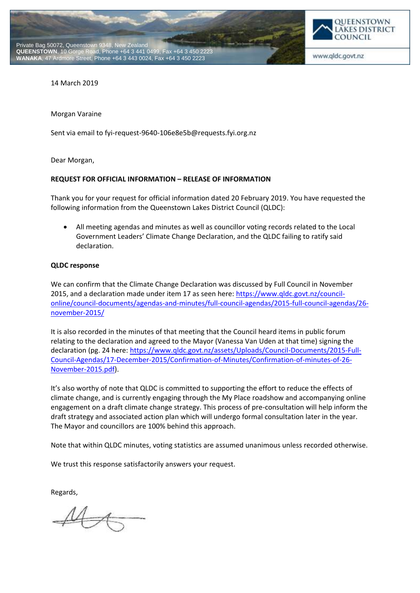



www.qldc.govt.nz

14 March 2019

Morgan Varaine

Sent via email to fyi-request-9640-106e8e5b@requests.fyi.org.nz

Dear Morgan,

## **REQUEST FOR OFFICIAL INFORMATION – RELEASE OF INFORMATION**

Thank you for your request for official information dated 20 February 2019. You have requested the following information from the Queenstown Lakes District Council (QLDC):

 All meeting agendas and minutes as well as councillor voting records related to the Local Government Leaders' Climate Change Declaration, and the QLDC failing to ratify said declaration.

## **QLDC response**

We can confirm that the Climate Change Declaration was discussed by Full Council in November 2015, and a declaration made under item 17 as seen here: [https://www.qldc.govt.nz/council](https://www.qldc.govt.nz/council-online/council-documents/agendas-and-minutes/full-council-agendas/2015-full-council-agendas/26-november-2015/)[online/council-documents/agendas-and-minutes/full-council-agendas/2015-full-council-agendas/26](https://www.qldc.govt.nz/council-online/council-documents/agendas-and-minutes/full-council-agendas/2015-full-council-agendas/26-november-2015/) [november-2015/](https://www.qldc.govt.nz/council-online/council-documents/agendas-and-minutes/full-council-agendas/2015-full-council-agendas/26-november-2015/)

It is also recorded in the minutes of that meeting that the Council heard items in public forum relating to the declaration and agreed to the Mayor (Vanessa Van Uden at that time) signing the declaration (pg. 24 here: [https://www.qldc.govt.nz/assets/Uploads/Council-Documents/2015-Full-](https://www.qldc.govt.nz/assets/Uploads/Council-Documents/2015-Full-Council-Agendas/17-December-2015/Confirmation-of-Minutes/Confirmation-of-minutes-of-26-November-2015.pdf)[Council-Agendas/17-December-2015/Confirmation-of-Minutes/Confirmation-of-minutes-of-26-](https://www.qldc.govt.nz/assets/Uploads/Council-Documents/2015-Full-Council-Agendas/17-December-2015/Confirmation-of-Minutes/Confirmation-of-minutes-of-26-November-2015.pdf) [November-2015.pdf\)](https://www.qldc.govt.nz/assets/Uploads/Council-Documents/2015-Full-Council-Agendas/17-December-2015/Confirmation-of-Minutes/Confirmation-of-minutes-of-26-November-2015.pdf).

It's also worthy of note that QLDC is committed to supporting the effort to reduce the effects of climate change, and is currently engaging through the My Place roadshow and accompanying online engagement on a draft climate change strategy. This process of pre-consultation will help inform the draft strategy and associated action plan which will undergo formal consultation later in the year. The Mayor and councillors are 100% behind this approach.

Note that within QLDC minutes, voting statistics are assumed unanimous unless recorded otherwise.

We trust this response satisfactorily answers your request.

Regards,

 $\mathcal{M}_{\mathcal{A}}$